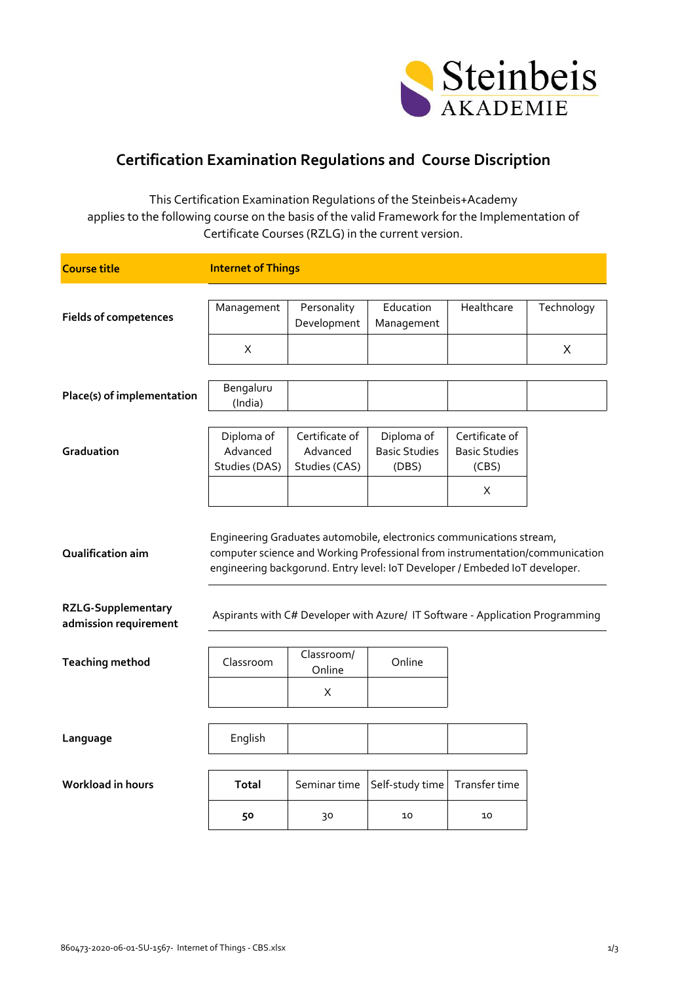

## **Certification Examination Regulations and Course Discription**

This Certification Examination Regulations of the Steinbeis+Academy applies to the following course on the basis of the valid Framework for the Implementation of Certificate Courses (RZLG) in the current version.

| <b>Course title</b>                                                     | <b>Internet of Things</b>                                                                                                                                                                                                                                                                                            |                                             |                                             |                                                 |            |
|-------------------------------------------------------------------------|----------------------------------------------------------------------------------------------------------------------------------------------------------------------------------------------------------------------------------------------------------------------------------------------------------------------|---------------------------------------------|---------------------------------------------|-------------------------------------------------|------------|
|                                                                         |                                                                                                                                                                                                                                                                                                                      |                                             |                                             |                                                 |            |
| <b>Fields of competences</b>                                            | Management                                                                                                                                                                                                                                                                                                           | Personality<br>Development                  | Education<br>Management                     | Healthcare                                      | Technology |
|                                                                         | X                                                                                                                                                                                                                                                                                                                    |                                             |                                             |                                                 | X          |
| Place(s) of implementation                                              | Bengaluru<br>(India)                                                                                                                                                                                                                                                                                                 |                                             |                                             |                                                 |            |
|                                                                         |                                                                                                                                                                                                                                                                                                                      |                                             |                                             |                                                 |            |
| Graduation                                                              | Diploma of<br>Advanced<br>Studies (DAS)                                                                                                                                                                                                                                                                              | Certificate of<br>Advanced<br>Studies (CAS) | Diploma of<br><b>Basic Studies</b><br>(DBS) | Certificate of<br><b>Basic Studies</b><br>(CBS) |            |
|                                                                         |                                                                                                                                                                                                                                                                                                                      |                                             |                                             | X.                                              |            |
| Qualification aim<br><b>RZLG-Supplementary</b><br>admission requirement | Engineering Graduates automobile, electronics communications stream,<br>computer science and Working Professional from instrumentation/communication<br>engineering backgorund. Entry level: IoT Developer / Embeded IoT developer.<br>Aspirants with C# Developer with Azure/ IT Software - Application Programming |                                             |                                             |                                                 |            |
|                                                                         |                                                                                                                                                                                                                                                                                                                      |                                             |                                             |                                                 |            |
| <b>Teaching method</b>                                                  | Classroom                                                                                                                                                                                                                                                                                                            | Classroom/<br>Online                        | Online                                      |                                                 |            |
|                                                                         |                                                                                                                                                                                                                                                                                                                      | X                                           |                                             |                                                 |            |
|                                                                         |                                                                                                                                                                                                                                                                                                                      |                                             |                                             |                                                 |            |
| Language                                                                | English                                                                                                                                                                                                                                                                                                              |                                             |                                             |                                                 |            |
| Workload in hours                                                       | <b>Total</b>                                                                                                                                                                                                                                                                                                         | Seminar time                                | Self-study time                             | Transfer time                                   |            |
|                                                                         | 50                                                                                                                                                                                                                                                                                                                   | 30                                          | 10                                          | 10                                              |            |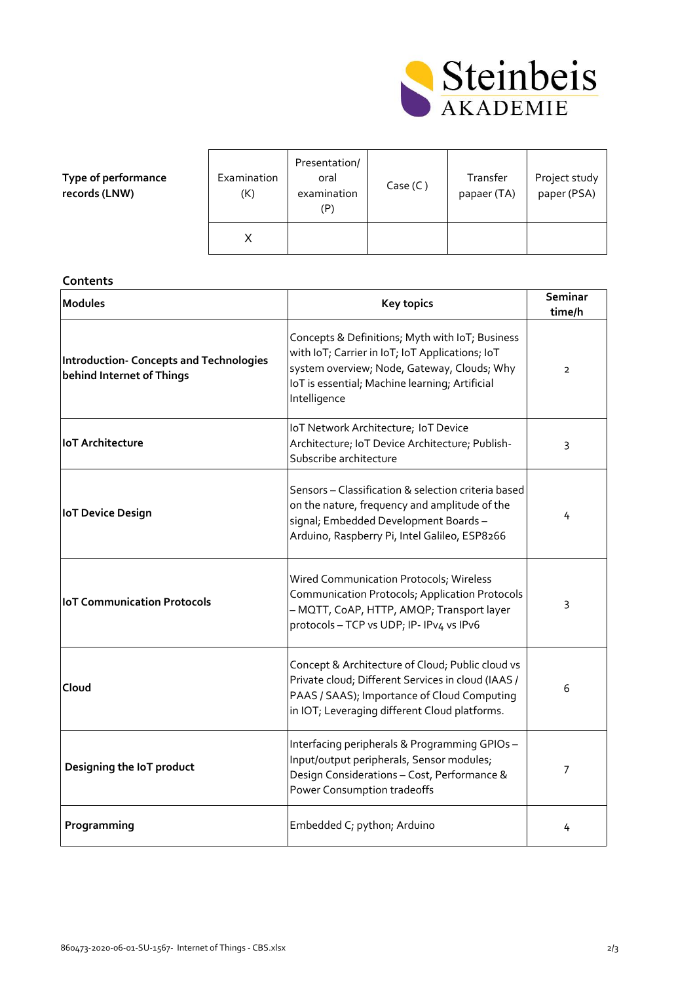

| Type of performance |
|---------------------|
| records (LNW)       |

| Examination<br>(K) | Presentation/<br>oral<br>examination<br>(P) | Case (C) | Transfer<br>papaer (TA) | Project study<br>paper (PSA) |
|--------------------|---------------------------------------------|----------|-------------------------|------------------------------|
|                    |                                             |          |                         |                              |

## **Contents**

| <b>Modules</b>                                                              | <b>Key topics</b>                                                                                                                                                                                                   | Seminar<br>time/h |
|-----------------------------------------------------------------------------|---------------------------------------------------------------------------------------------------------------------------------------------------------------------------------------------------------------------|-------------------|
| <b>Introduction- Concepts and Technologies</b><br>behind Internet of Things | Concepts & Definitions; Myth with IoT; Business<br>with IoT; Carrier in IoT; IoT Applications; IoT<br>system overview; Node, Gateway, Clouds; Why<br>IoT is essential; Machine learning; Artificial<br>Intelligence | $\overline{2}$    |
| <b>IoT Architecture</b>                                                     | IoT Network Architecture; IoT Device<br>Architecture; IoT Device Architecture; Publish-<br>Subscribe architecture                                                                                                   | 3                 |
| <b>IoT Device Design</b>                                                    | Sensors - Classification & selection criteria based<br>on the nature, frequency and amplitude of the<br>signal; Embedded Development Boards-<br>Arduino, Raspberry Pi, Intel Galileo, ESP8266                       | 4                 |
| <b>IoT Communication Protocols</b>                                          | Wired Communication Protocols; Wireless<br>Communication Protocols; Application Protocols<br>- MQTT, CoAP, HTTP, AMQP; Transport layer<br>protocols - TCP vs UDP; IP- IPv4 vs IPv6                                  | 3                 |
| Cloud                                                                       | Concept & Architecture of Cloud; Public cloud vs<br>Private cloud; Different Services in cloud (IAAS /<br>PAAS / SAAS); Importance of Cloud Computing<br>in IOT; Leveraging different Cloud platforms.              | 6                 |
| Designing the IoT product                                                   | Interfacing peripherals & Programming GPIOs-<br>Input/output peripherals, Sensor modules;<br>Design Considerations - Cost, Performance &<br>Power Consumption tradeoffs                                             | 7                 |
| Programming                                                                 | Embedded C; python; Arduino                                                                                                                                                                                         | 4                 |